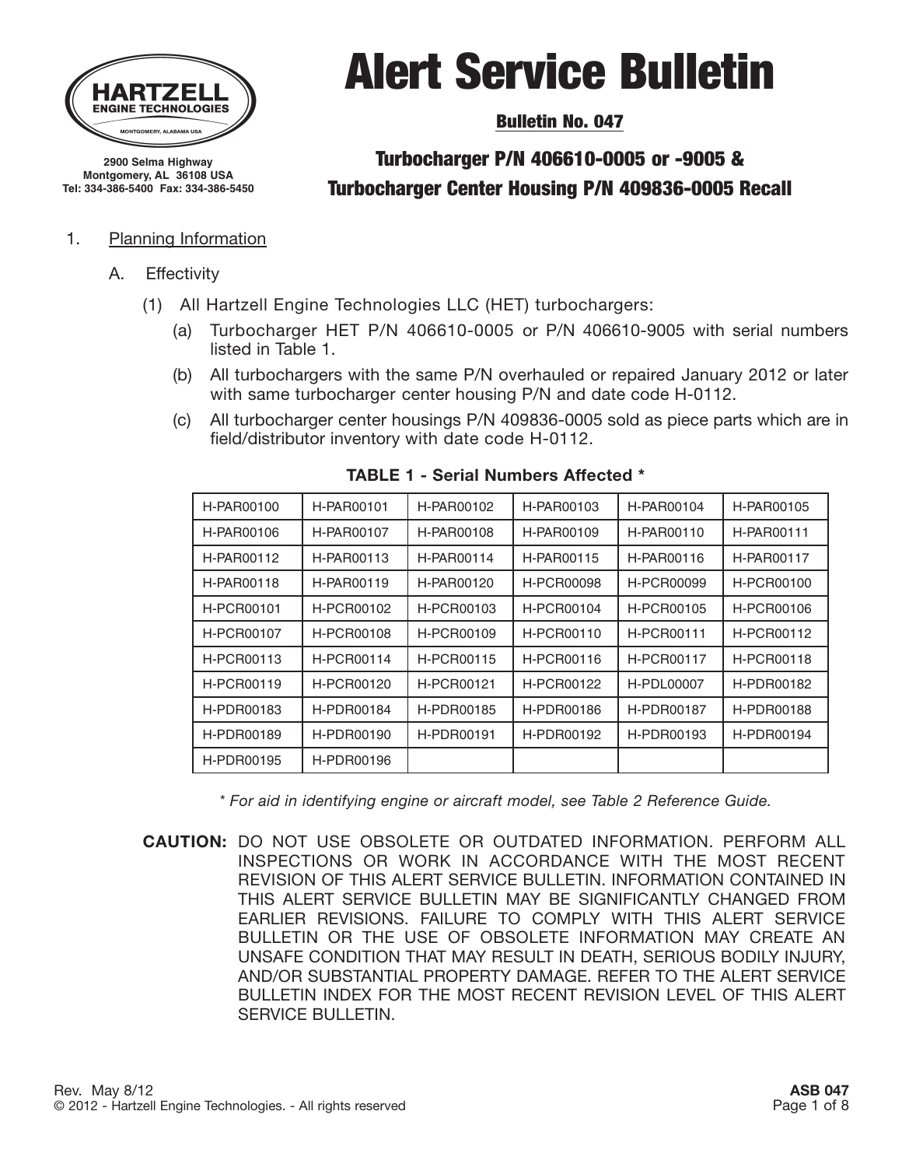

**2900 Selma Highway Montgomery, AL 36108 USA Tel: 334-386-5400 Fax: 334-386-5450**

#### 1. Planning Information

- A. Effectivity
	- (1) All Hartzell Engine Technologies LLC (HET) turbochargers:
		- (a) Turbocharger HET P/N 406610-0005 or P/N 406610-9005 with serial numbers listed in Table 1.

Alert Service Bulletin

Bulletin No. 047

Turbocharger P/N 406610-0005 or -9005 & Turbocharger Center Housing P/N 409836-0005 Recall

- (b) All turbochargers with the same P/N overhauled or repaired January 2012 or later with same turbocharger center housing P/N and date code H-0112.
- (c) All turbocharger center housings P/N 409836-0005 sold as piece parts which are in field/distributor inventory with date code H-0112.

| H-PAR00100 | H-PAR00101 | H-PAR00102 | H-PAR00103 | H-PAR00104        | H-PAR00105 |
|------------|------------|------------|------------|-------------------|------------|
| H-PAR00106 | H-PAR00107 | H-PAR00108 | H-PAR00109 | H-PAR00110        | H-PAR00111 |
| H-PAR00112 | H-PAR00113 | H-PAR00114 | H-PAR00115 | H-PAR00116        | H-PAR00117 |
| H-PAR00118 | H-PAR00119 | H-PAR00120 | H-PCR00098 | H-PCR00099        | H-PCR00100 |
| H-PCR00101 | H-PCR00102 | H-PCR00103 | H-PCR00104 | H-PCR00105        | H-PCR00106 |
| H-PCR00107 | H-PCR00108 | H-PCR00109 | H-PCR00110 | H-PCR00111        | H-PCR00112 |
| H-PCR00113 | H-PCR00114 | H-PCR00115 | H-PCR00116 | H-PCR00117        | H-PCR00118 |
| H-PCR00119 | H-PCR00120 | H-PCR00121 | H-PCR00122 | <b>H-PDL00007</b> | H-PDR00182 |
| H-PDR00183 | H-PDR00184 | H-PDR00185 | H-PDR00186 | H-PDR00187        | H-PDR00188 |
| H-PDR00189 | H-PDR00190 | H-PDR00191 | H-PDR00192 | H-PDR00193        | H-PDR00194 |
| H-PDR00195 | H-PDR00196 |            |            |                   |            |

#### **TABLE 1 - Serial Numbers Affected \***

*\* For aid in identifying engine or aircraft model, see Table 2 Reference Guide.*

**CAUTION:** DO NOT USE OBSOLETE OR OUTDATED INFORMATION. PERFORM ALL INSPECTIONS OR WORK IN ACCORDANCE WITH THE MOST RECENT REVISION OF THIS ALERT SERVICE BULLETIN. INFORMATION CONTAINED IN THIS ALERT SERVICE BULLETIN MAY BE SIGNIFICANTLY CHANGED FROM EARLIER REVISIONS. FAILURE TO COMPLY WITH THIS ALERT SERVICE BULLETIN OR THE USE OF OBSOLETE INFORMATION MAY CREATE AN UNSAFE CONDITION THAT MAY RESULT IN DEATH, SERIOUS BODILY INJURY, AND/OR SUBSTANTIAL PROPERTY DAMAGE. REFER TO THE ALERT SERVICE BULLETIN INDEX FOR THE MOST RECENT REVISION LEVEL OF THIS ALERT SERVICE BULLETIN.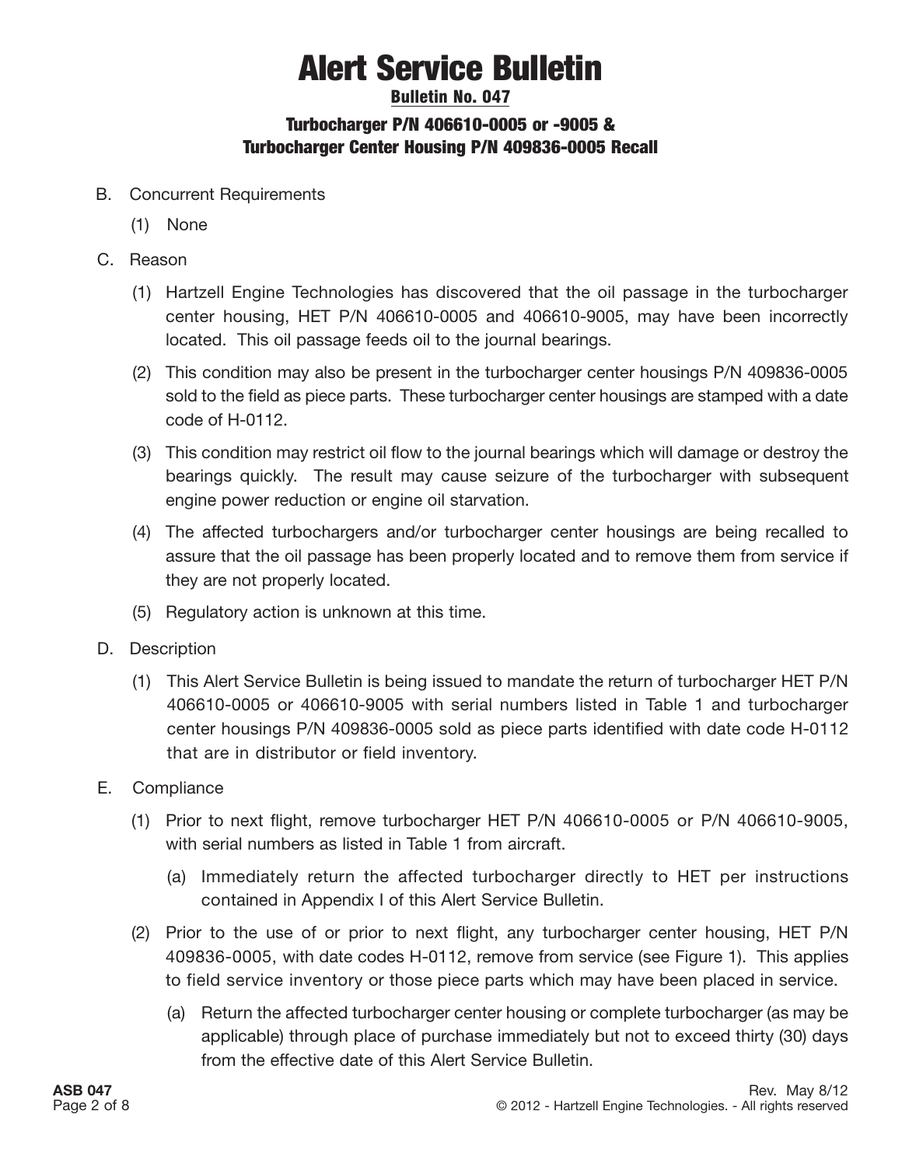### Bulletin No. 047 Turbocharger P/N 406610-0005 or -9005 & Turbocharger Center Housing P/N 409836-0005 Recall

- B. Concurrent Requirements
	- (1) None
- C. Reason
	- (1) Hartzell Engine Technologies has discovered that the oil passage in the turbocharger center housing, HET P/N 406610-0005 and 406610-9005, may have been incorrectly located. This oil passage feeds oil to the journal bearings.
	- (2) This condition may also be present in the turbocharger center housings P/N 409836-0005 sold to the field as piece parts. These turbocharger center housings are stamped with a date code of H-0112.
	- (3) This condition may restrict oil flow to the journal bearings which will damage or destroy the bearings quickly. The result may cause seizure of the turbocharger with subsequent engine power reduction or engine oil starvation.
	- (4) The affected turbochargers and/or turbocharger center housings are being recalled to assure that the oil passage has been properly located and to remove them from service if they are not properly located.
	- (5) Regulatory action is unknown at this time.
- D. Description
	- (1) This Alert Service Bulletin is being issued to mandate the return of turbocharger HET P/N 406610-0005 or 406610-9005 with serial numbers listed in Table 1 and turbocharger center housings P/N 409836-0005 sold as piece parts identified with date code H-0112 that are in distributor or field inventory.
- E. Compliance
	- (1) Prior to next flight, remove turbocharger HET P/N 406610-0005 or P/N 406610-9005, with serial numbers as listed in Table 1 from aircraft.
		- (a) Immediately return the affected turbocharger directly to HET per instructions contained in Appendix I of this Alert Service Bulletin.
	- (2) Prior to the use of or prior to next flight, any turbocharger center housing, HET P/N 409836-0005, with date codes H-0112, remove from service (see Figure 1). This applies to field service inventory or those piece parts which may have been placed in service.
		- (a) Return the affected turbocharger center housing or complete turbocharger (as may be applicable) through place of purchase immediately but not to exceed thirty (30) days from the effective date of this Alert Service Bulletin.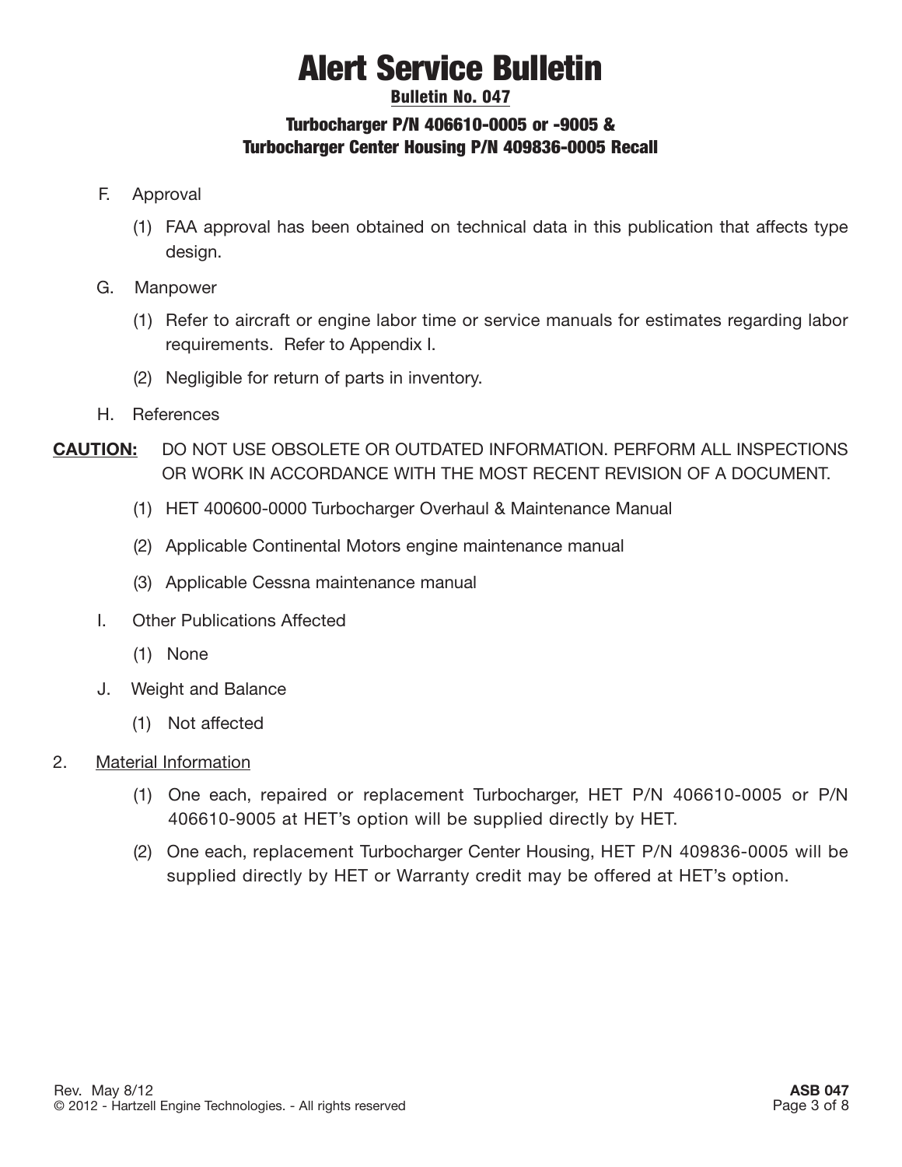### Bulletin No. 047 Turbocharger P/N 406610-0005 or -9005 & Turbocharger Center Housing P/N 409836-0005 Recall

- F. Approval
	- (1) FAA approval has been obtained on technical data in this publication that affects type design.
- G. Manpower
	- (1) Refer to aircraft or engine labor time or service manuals for estimates regarding labor requirements. Refer to Appendix I.
	- (2) Negligible for return of parts in inventory.
- H. References
- **CAUTION:** DO NOT USE OBSOLETE OR OUTDATED INFORMATION. PERFORM ALL INSPECTIONS OR WORK IN ACCORDANCE WITH THE MOST RECENT REVISION OF A DOCUMENT.
	- (1) HET 400600-0000 Turbocharger Overhaul & Maintenance Manual
	- (2) Applicable Continental Motors engine maintenance manual
	- (3) Applicable Cessna maintenance manual
	- I. Other Publications Affected
		- (1) None
	- J. Weight and Balance
		- (1) Not affected
- 2. Material Information
	- (1) One each, repaired or replacement Turbocharger, HET P/N 406610-0005 or P/N 406610-9005 at HET's option will be supplied directly by HET.
	- (2) One each, replacement Turbocharger Center Housing, HET P/N 409836-0005 will be supplied directly by HET or Warranty credit may be offered at HET's option.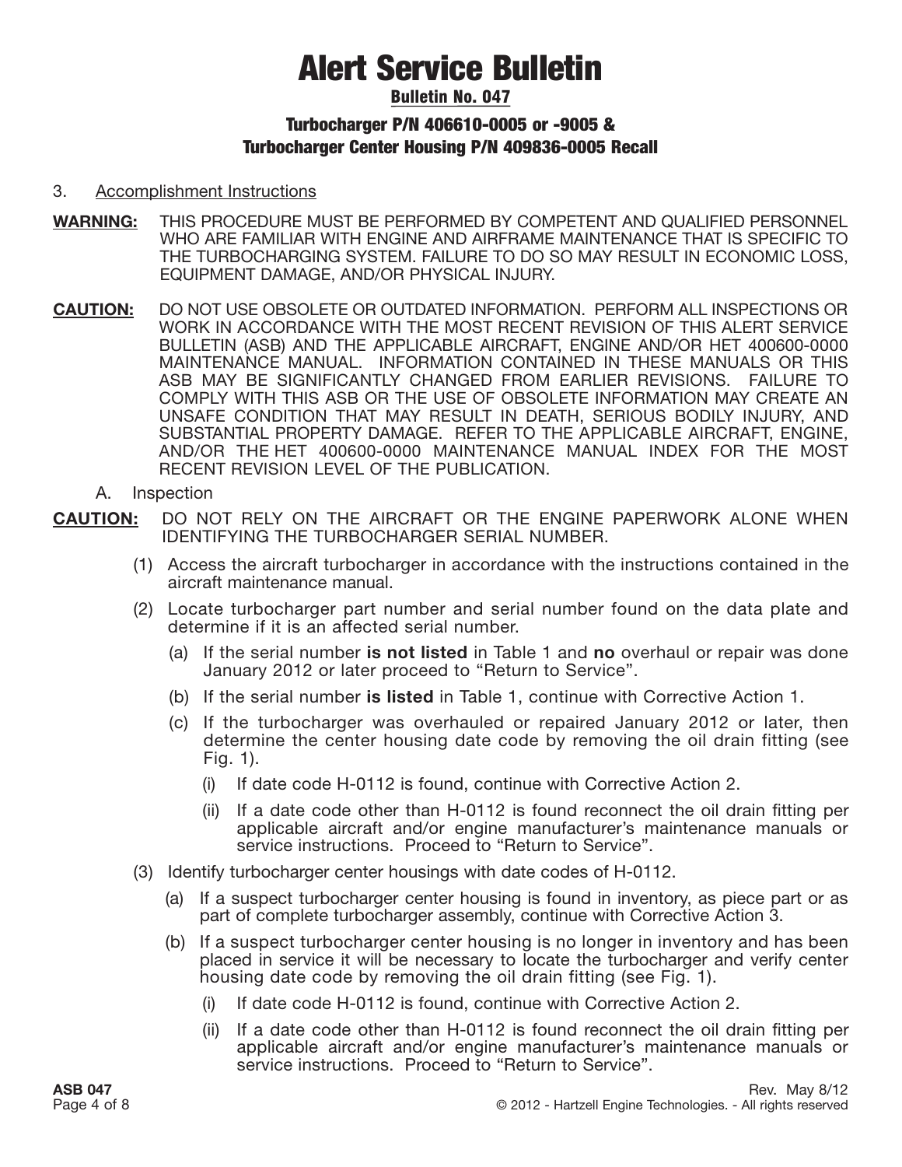#### Bulletin No. 047

### Turbocharger P/N 406610-0005 or -9005 & Turbocharger Center Housing P/N 409836-0005 Recall

#### 3. Accomplishment Instructions

- **WARNING:** THIS PROCEDURE MUST BE PERFORMED BY COMPETENT AND QUALIFIED PERSONNEL WHO ARE FAMILIAR WITH ENGINE AND AIRFRAME MAINTENANCE THAT IS SPECIFIC TO THE TURBOCHARGING SYSTEM. FAILURE TO DO SO MAY RESULT IN ECONOMIC LOSS, EQUIPMENT DAMAGE, AND/OR PHYSICAL INJURY.
- **CAUTION:** DO NOT USE OBSOLETE OR OUTDATED INFORMATION. PERFORM ALL INSPECTIONS OR WORK IN ACCORDANCE WITH THE MOST RECENT REVISION OF THIS ALERT SERVICE BULLETIN (ASB) AND THE APPLICABLE AIRCRAFT, ENGINE AND/OR HET 400600-0000 MAINTENANCE MANUAL. INFORMATION CONTAINED IN THESE MANUALS OR THIS ASB MAY BE SIGNIFICANTLY CHANGED FROM EARLIER REVISIONS. FAILURE TO COMPLY WITH THIS ASB OR THE USE OF OBSOLETE INFORMATION MAY CREATE AN UNSAFE CONDITION THAT MAY RESULT IN DEATH, SERIOUS BODILY INJURY, AND SUBSTANTIAL PROPERTY DAMAGE. REFER TO THE APPLICABLE AIRCRAFT, ENGINE, AND/OR THE HET 400600-0000 MAINTENANCE MANUAL INDEX FOR THE MOST RECENT REVISION LEVEL OF THE PUBLICATION.
	- A. Inspection
- **CAUTION:** DO NOT RELY ON THE AIRCRAFT OR THE ENGINE PAPERWORK ALONE WHEN IDENTIFYING THE TURBOCHARGER SERIAL NUMBER.
	- (1) Access the aircraft turbocharger in accordance with the instructions contained in the aircraft maintenance manual.
	- (2) Locate turbocharger part number and serial number found on the data plate and determine if it is an affected serial number.
		- (a) If the serial number **is not listed** in Table 1 and **no** overhaul or repair was done January 2012 or later proceed to "Return to Service".
		- (b) If the serial number **is listed** in Table 1, continue with Corrective Action 1.
		- (c) If the turbocharger was overhauled or repaired January 2012 or later, then determine the center housing date code by removing the oil drain fitting (see Fig. 1).
			- (i) If date code H-0112 is found, continue with Corrective Action 2.
			- (ii) If a date code other than H-0112 is found reconnect the oil drain fitting per applicable aircraft and/or engine manufacturer's maintenance manuals or service instructions. Proceed to "Return to Service".
	- (3) Identify turbocharger center housings with date codes of H-0112.
		- (a) If a suspect turbocharger center housing is found in inventory, as piece part or as part of complete turbocharger assembly, continue with Corrective Action 3.
		- (b) If a suspect turbocharger center housing is no longer in inventory and has been placed in service it will be necessary to locate the turbocharger and verify center housing date code by removing the oil drain fitting (see Fig. 1).
			- (i) If date code H-0112 is found, continue with Corrective Action 2.
			- (ii) If a date code other than H-0112 is found reconnect the oil drain fitting per applicable aircraft and/or engine manufacturer's maintenance manuals or service instructions. Proceed to "Return to Service".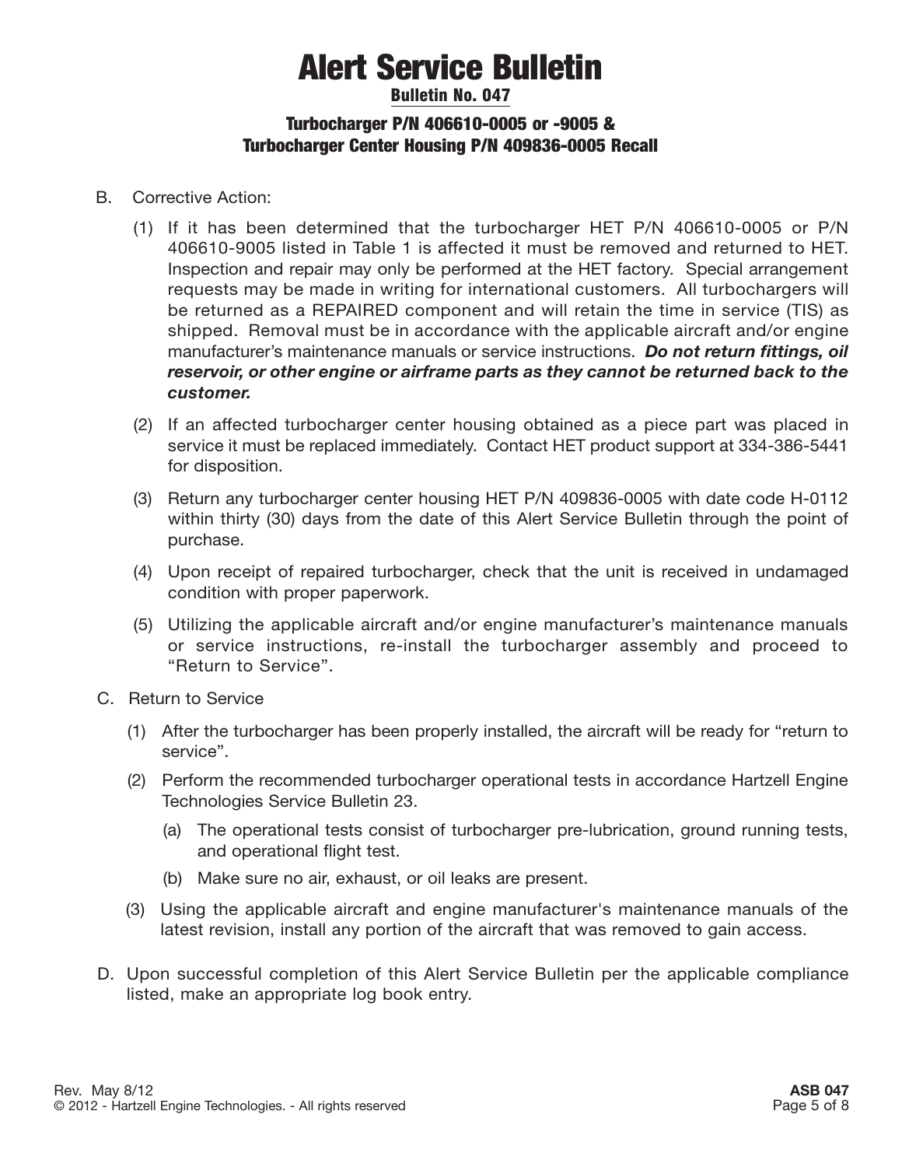### Bulletin No. 047 Turbocharger P/N 406610-0005 or -9005 & Turbocharger Center Housing P/N 409836-0005 Recall

- B. Corrective Action:
	- (1) If it has been determined that the turbocharger HET P/N 406610-0005 or P/N 406610-9005 listed in Table 1 is affected it must be removed and returned to HET. Inspection and repair may only be performed at the HET factory. Special arrangement requests may be made in writing for international customers. All turbochargers will be returned as a REPAIRED component and will retain the time in service (TIS) as shipped. Removal must be in accordance with the applicable aircraft and/or engine manufacturer's maintenance manuals or service instructions. *Do not return fittings, oil reservoir, or other engine or airframe parts as they cannot be returned back to the customer.*
	- (2) If an affected turbocharger center housing obtained as a piece part was placed in service it must be replaced immediately. Contact HET product support at 334-386-5441 for disposition.
	- (3) Return any turbocharger center housing HET P/N 409836-0005 with date code H-0112 within thirty (30) days from the date of this Alert Service Bulletin through the point of purchase.
	- (4) Upon receipt of repaired turbocharger, check that the unit is received in undamaged condition with proper paperwork.
	- (5) Utilizing the applicable aircraft and/or engine manufacturer's maintenance manuals or service instructions, re-install the turbocharger assembly and proceed to "Return to Service".
- C. Return to Service
	- (1) After the turbocharger has been properly installed, the aircraft will be ready for "return to service".
	- (2) Perform the recommended turbocharger operational tests in accordance Hartzell Engine Technologies Service Bulletin 23.
		- (a) The operational tests consist of turbocharger pre-lubrication, ground running tests, and operational flight test.
		- (b) Make sure no air, exhaust, or oil leaks are present.
	- (3) Using the applicable aircraft and engine manufacturer's maintenance manuals of the latest revision, install any portion of the aircraft that was removed to gain access.
- D. Upon successful completion of this Alert Service Bulletin per the applicable compliance listed, make an appropriate log book entry.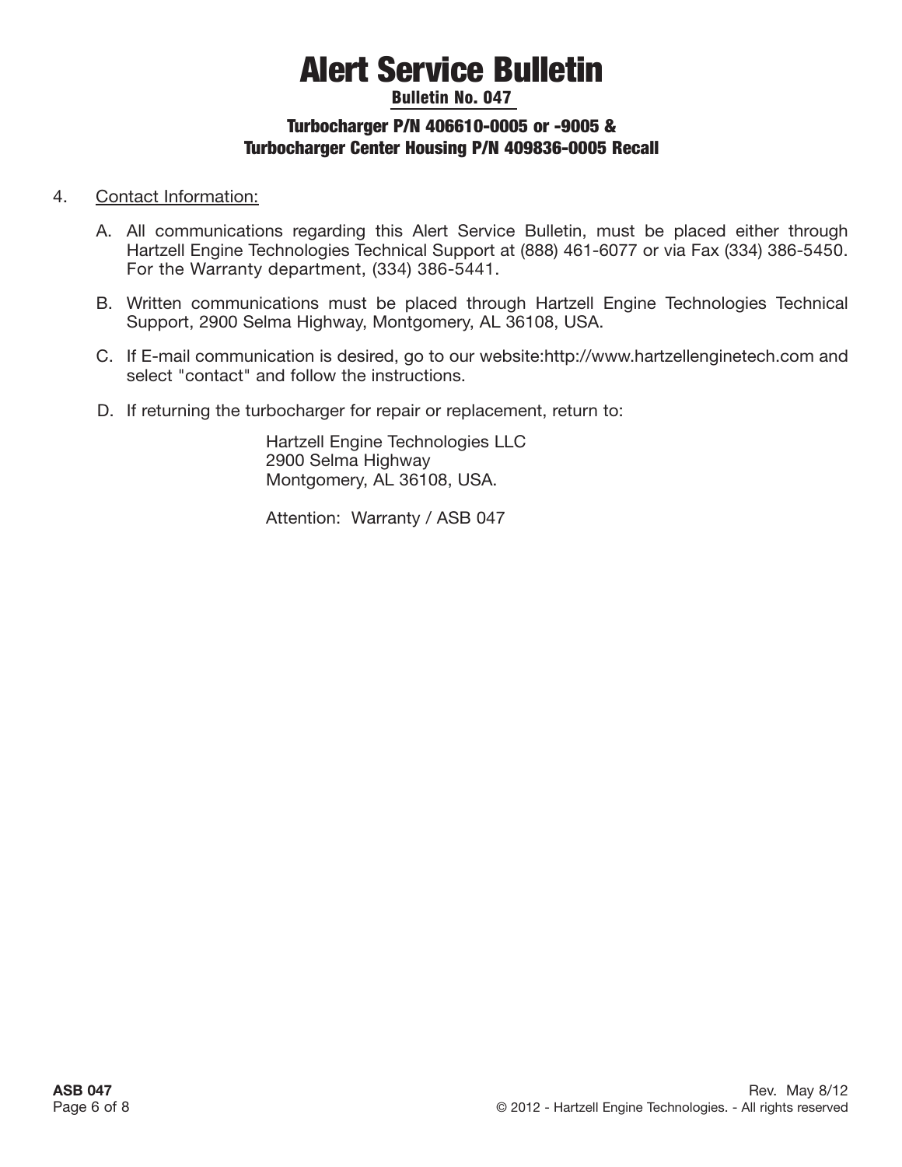### Bulletin No. 047 Turbocharger P/N 406610-0005 or -9005 & Turbocharger Center Housing P/N 409836-0005 Recall

#### 4. Contact Information:

- A. All communications regarding this Alert Service Bulletin, must be placed either through Hartzell Engine Technologies Technical Support at (888) 461-6077 or via Fax (334) 386-5450. For the Warranty department, (334) 386-5441.
- B. Written communications must be placed through Hartzell Engine Technologies Technical Support, 2900 Selma Highway, Montgomery, AL 36108, USA.
- C. If E-mail communication is desired, go to our website:http://www.hartzellenginetech.com and select "contact" and follow the instructions.
- D. If returning the turbocharger for repair or replacement, return to:

Hartzell Engine Technologies LLC 2900 Selma Highway Montgomery, AL 36108, USA.

Attention: Warranty / ASB 047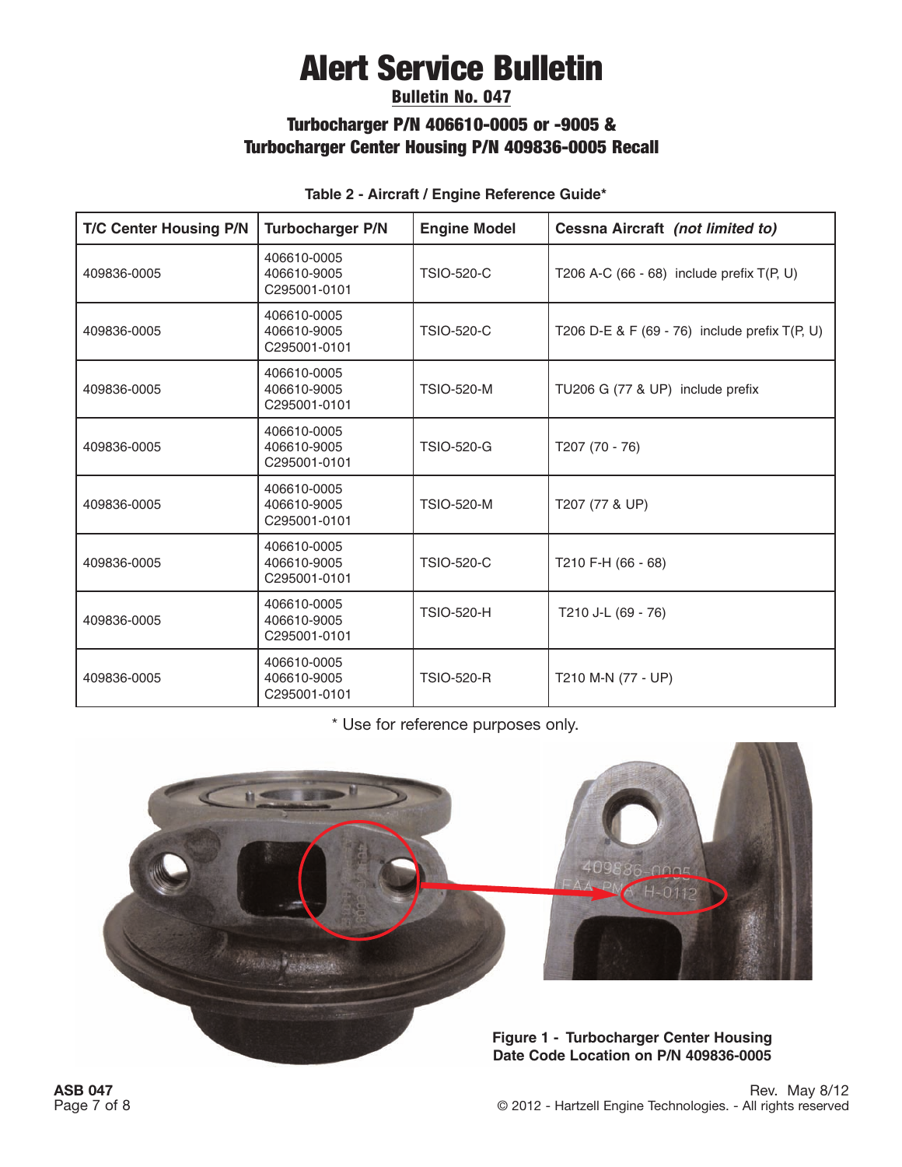### Bulletin No. 047

### Turbocharger P/N 406610-0005 or -9005 & Turbocharger Center Housing P/N 409836-0005 Recall

| <b>T/C Center Housing P/N</b> | <b>Turbocharger P/N</b>                    | <b>Engine Model</b> | Cessna Aircraft (not limited to)                |
|-------------------------------|--------------------------------------------|---------------------|-------------------------------------------------|
| 409836-0005                   | 406610-0005<br>406610-9005<br>C295001-0101 | <b>TSIO-520-C</b>   | T206 A-C (66 - 68) include prefix $T(P, U)$     |
| 409836-0005                   | 406610-0005<br>406610-9005<br>C295001-0101 | <b>TSIO-520-C</b>   | T206 D-E & F $(69 - 76)$ include prefix T(P, U) |
| 409836-0005                   | 406610-0005<br>406610-9005<br>C295001-0101 | <b>TSIO-520-M</b>   | TU206 G (77 & UP) include prefix                |
| 409836-0005                   | 406610-0005<br>406610-9005<br>C295001-0101 | <b>TSIO-520-G</b>   | T207 (70 - 76)                                  |
| 409836-0005                   | 406610-0005<br>406610-9005<br>C295001-0101 | <b>TSIO-520-M</b>   | T207 (77 & UP)                                  |
| 409836-0005                   | 406610-0005<br>406610-9005<br>C295001-0101 | <b>TSIO-520-C</b>   | T210 F-H (66 - 68)                              |
| 409836-0005                   | 406610-0005<br>406610-9005<br>C295001-0101 | <b>TSIO-520-H</b>   | T210 J-L (69 - 76)                              |
| 409836-0005                   | 406610-0005<br>406610-9005<br>C295001-0101 | <b>TSIO-520-R</b>   | T210 M-N (77 - UP)                              |

**Table 2 - Aircraft / Engine Reference Guide\***

\* Use for reference purposes only.

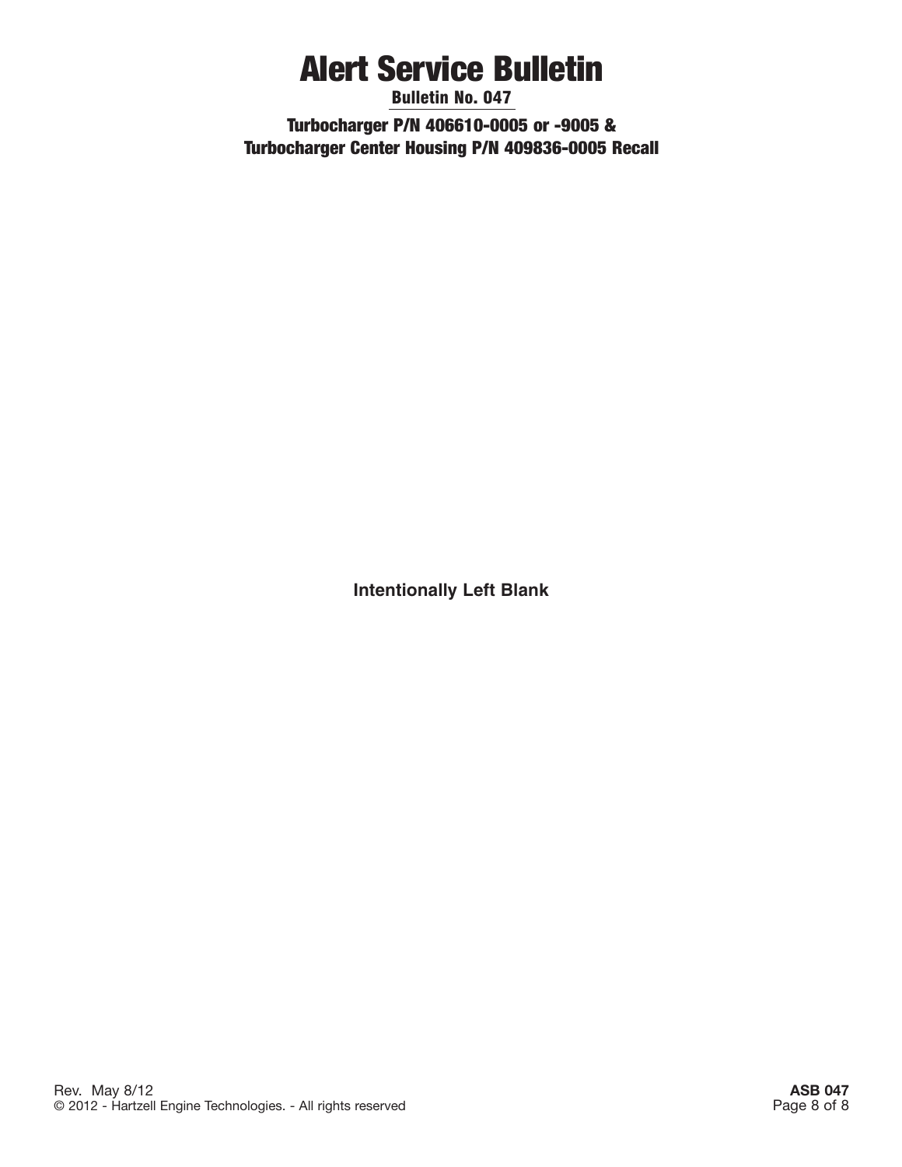Bulletin No. 047 Turbocharger P/N 406610-0005 or -9005 & Turbocharger Center Housing P/N 409836-0005 Recall

**Intentionally Left Blank**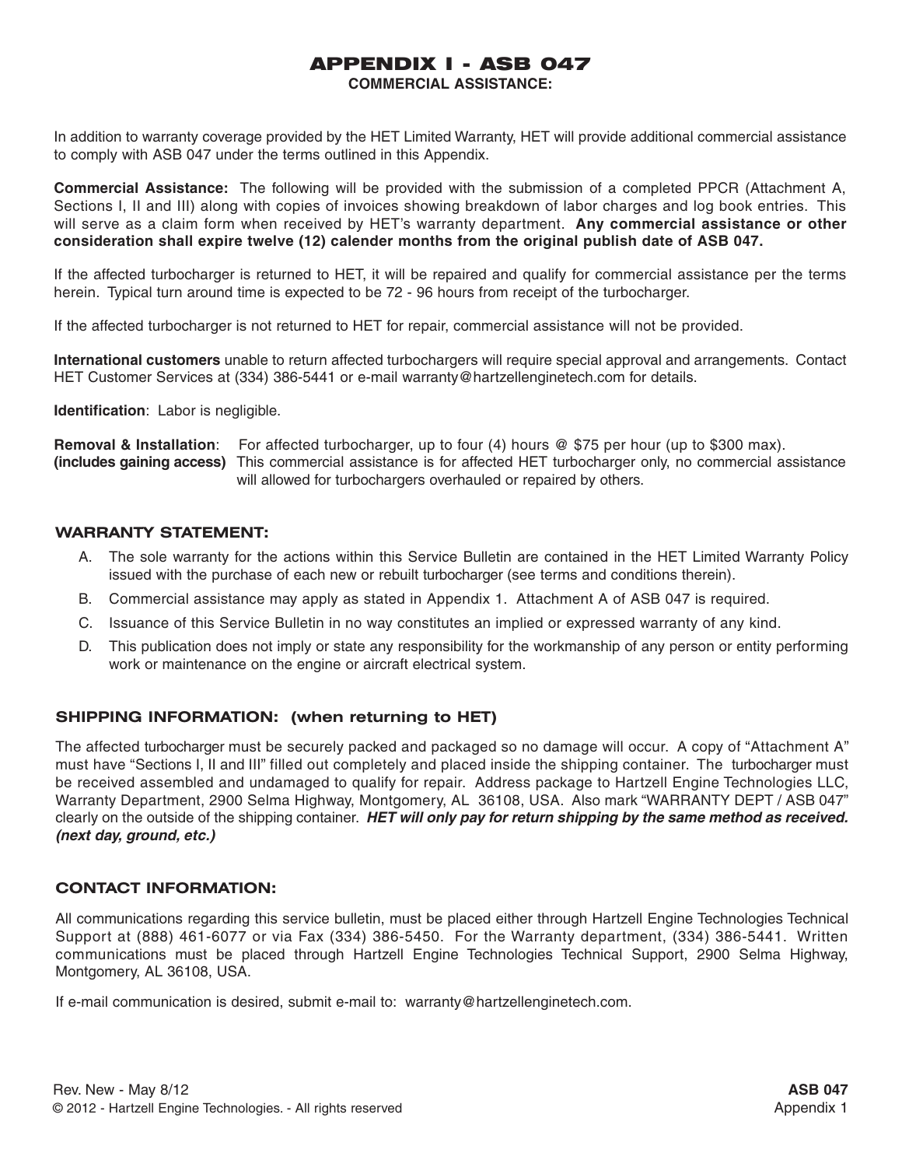## APPENDIX I - ASB 047

**COMMERCIAL ASSISTANCE:**

In addition to warranty coverage provided by the HET Limited Warranty, HET will provide additional commercial assistance to comply with ASB 047 under the terms outlined in this Appendix.

**Commercial Assistance:** The following will be provided with the submission of a completed PPCR (Attachment A, Sections I, II and III) along with copies of invoices showing breakdown of labor charges and log book entries. This will serve as a claim form when received by HET's warranty department. **Any commercial assistance or other consideration shall expire twelve (12) calender months from the original publish date of ASB 047.**

If the affected turbocharger is returned to HET, it will be repaired and qualify for commercial assistance per the terms herein. Typical turn around time is expected to be 72 - 96 hours from receipt of the turbocharger.

If the affected turbocharger is not returned to HET for repair, commercial assistance will not be provided.

**International customers** unable to return affected turbochargers will require special approval and arrangements. Contact HET Customer Services at (334) 386-5441 or e-mail warranty@hartzellenginetech.com for details.

**Identification**: Labor is negligible.

**Removal & Installation**: For affected turbocharger, up to four (4) hours @ \$75 per hour (up to \$300 max). **(includes gaining access)** This commercial assistance is for affected HET turbocharger only, no commercial assistance will allowed for turbochargers overhauled or repaired by others.

#### **WARRANTY STATEMENT:**

- A. The sole warranty for the actions within this Service Bulletin are contained in the HET Limited Warranty Policy issued with the purchase of each new or rebuilt turbocharger (see terms and conditions therein).
- B. Commercial assistance may apply as stated in Appendix 1. Attachment A of ASB 047 is required.
- C. Issuance of this Service Bulletin in no way constitutes an implied or expressed warranty of any kind.
- D. This publication does not imply or state any responsibility for the workmanship of any person or entity performing work or maintenance on the engine or aircraft electrical system.

#### **SHIPPING INFORMATION: (when returning to HET)**

The affected turbocharger must be securely packed and packaged so no damage will occur. A copy of "Attachment A" must have "Sections I, II and III" filled out completely and placed inside the shipping container. The turbocharger must be received assembled and undamaged to qualify for repair. Address package to Hartzell Engine Technologies LLC, Warranty Department, 2900 Selma Highway, Montgomery, AL 36108, USA. Also mark "WARRANTY DEPT / ASB 047" clearly on the outside of the shipping container. **HET will only pay for return shipping by the same method as received. (next day, ground, etc.)**

#### **CONTACT INFORMATION:**

All communications regarding this service bulletin, must be placed either through Hartzell Engine Technologies Technical Support at (888) 461-6077 or via Fax (334) 386-5450. For the Warranty department, (334) 386-5441. Written communications must be placed through Hartzell Engine Technologies Technical Support, 2900 Selma Highway, Montgomery, AL 36108, USA.

If e-mail communication is desired, submit e-mail to: warranty@hartzellenginetech.com.